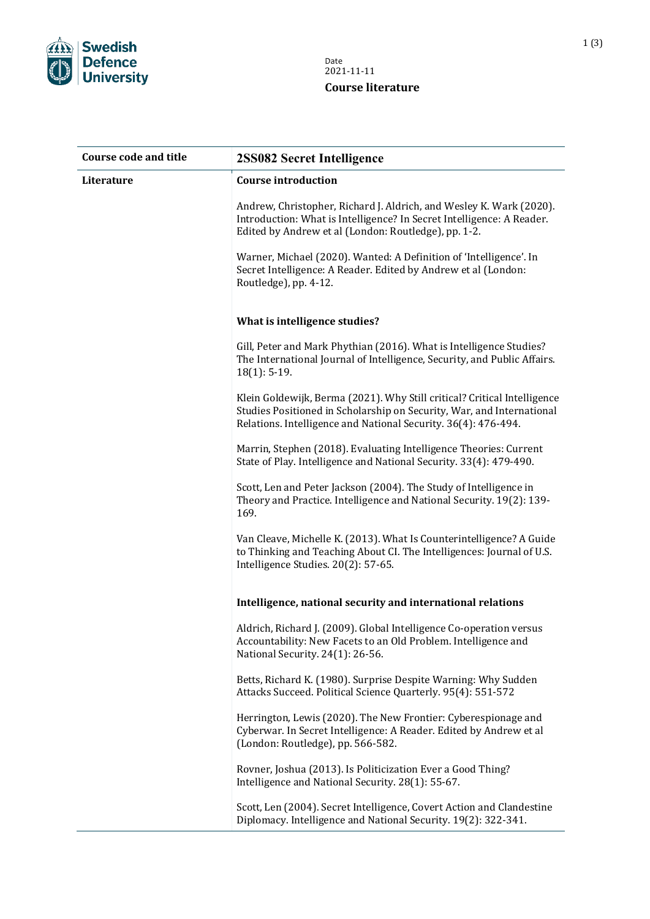

| <b>Course code and title</b> | 2SS082 Secret Intelligence                                                                                                                                                                                          |
|------------------------------|---------------------------------------------------------------------------------------------------------------------------------------------------------------------------------------------------------------------|
| Literature                   | <b>Course introduction</b>                                                                                                                                                                                          |
|                              | Andrew, Christopher, Richard J. Aldrich, and Wesley K. Wark (2020).<br>Introduction: What is Intelligence? In Secret Intelligence: A Reader.<br>Edited by Andrew et al (London: Routledge), pp. 1-2.                |
|                              | Warner, Michael (2020). Wanted: A Definition of 'Intelligence'. In<br>Secret Intelligence: A Reader. Edited by Andrew et al (London:<br>Routledge), pp. 4-12.                                                       |
|                              | What is intelligence studies?                                                                                                                                                                                       |
|                              | Gill, Peter and Mark Phythian (2016). What is Intelligence Studies?<br>The International Journal of Intelligence, Security, and Public Affairs.<br>$18(1): 5-19.$                                                   |
|                              | Klein Goldewijk, Berma (2021). Why Still critical? Critical Intelligence<br>Studies Positioned in Scholarship on Security, War, and International<br>Relations. Intelligence and National Security. 36(4): 476-494. |
|                              | Marrin, Stephen (2018). Evaluating Intelligence Theories: Current<br>State of Play. Intelligence and National Security. 33(4): 479-490.                                                                             |
|                              | Scott, Len and Peter Jackson (2004). The Study of Intelligence in<br>Theory and Practice. Intelligence and National Security. 19(2): 139-<br>169.                                                                   |
|                              | Van Cleave, Michelle K. (2013). What Is Counterintelligence? A Guide<br>to Thinking and Teaching About CI. The Intelligences: Journal of U.S.<br>Intelligence Studies. 20(2): 57-65.                                |
|                              | Intelligence, national security and international relations                                                                                                                                                         |
|                              | Aldrich, Richard J. (2009). Global Intelligence Co-operation versus<br>Accountability: New Facets to an Old Problem. Intelligence and<br>National Security. 24(1): 26-56.                                           |
|                              | Betts, Richard K. (1980). Surprise Despite Warning: Why Sudden<br>Attacks Succeed. Political Science Quarterly. 95(4): 551-572                                                                                      |
|                              | Herrington, Lewis (2020). The New Frontier: Cyberespionage and<br>Cyberwar. In Secret Intelligence: A Reader. Edited by Andrew et al<br>(London: Routledge), pp. 566-582.                                           |
|                              | Rovner, Joshua (2013). Is Politicization Ever a Good Thing?<br>Intelligence and National Security. 28(1): 55-67.                                                                                                    |
|                              | Scott, Len (2004). Secret Intelligence, Covert Action and Clandestine<br>Diplomacy. Intelligence and National Security. 19(2): 322-341.                                                                             |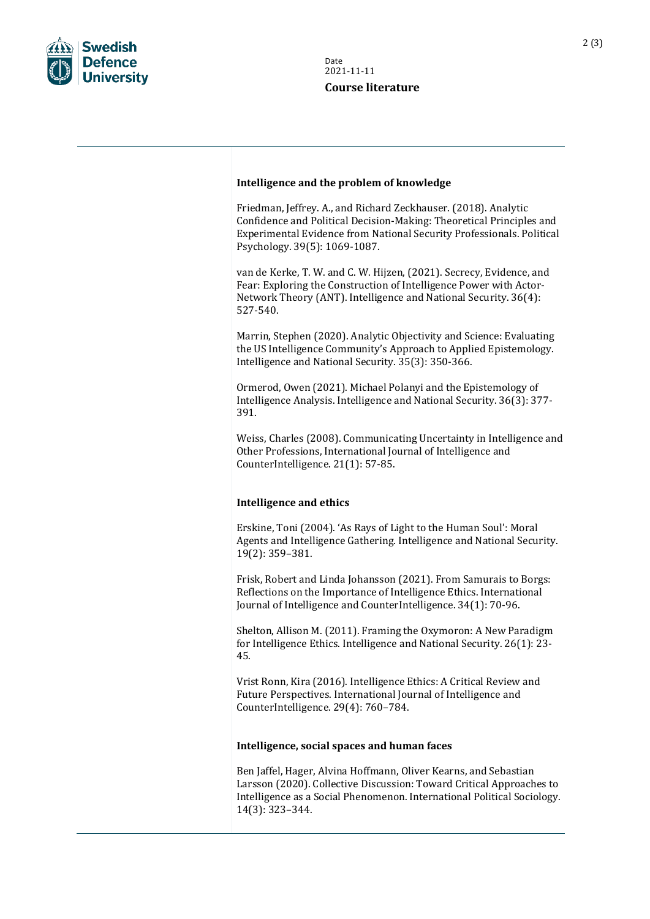

## **Intelligence and the problem of knowledge**

Friedman, Jeffrey. A., and Richard Zeckhauser. (2018). Analytic Confidence and Political Decision-Making: Theoretical Principles and Experimental Evidence from National Security Professionals. Political Psychology. 39(5): 1069-1087.

van de Kerke, T. W. and C. W. Hijzen, (2021). Secrecy, Evidence, and Fear: Exploring the Construction of Intelligence Power with Actor-Network Theory (ANT). Intelligence and National Security. 36(4): 527-540.

Marrin, Stephen (2020). Analytic Objectivity and Science: Evaluating the US Intelligence Community's Approach to Applied Epistemology. Intelligence and National Security. 35(3): 350-366.

Ormerod, Owen (2021). Michael Polanyi and the Epistemology of Intelligence Analysis. Intelligence and National Security. 36(3): 377- 391.

Weiss, Charles (2008). Communicating Uncertainty in Intelligence and Other Professions, International Journal of Intelligence and CounterIntelligence. 21(1): 57-85.

## **Intelligence and ethics**

Erskine, Toni (2004). 'As Rays of Light to the Human Soul': Moral Agents and Intelligence Gathering. Intelligence and National Security. 19(2): 359–381.

Frisk, Robert and Linda Johansson (2021). From Samurais to Borgs: Reflections on the Importance of Intelligence Ethics. International Journal of Intelligence and CounterIntelligence. 34(1): 70-96.

Shelton, Allison M. (2011). Framing the Oxymoron: A New Paradigm for Intelligence Ethics. Intelligence and National Security. 26(1): 23- 45.

Vrist Ronn, Kira (2016). Intelligence Ethics: A Critical Review and Future Perspectives. International Journal of Intelligence and CounterIntelligence. 29(4): 760–784.

## **Intelligence, social spaces and human faces**

Ben Jaffel, Hager, Alvina Hoffmann, Oliver Kearns, and Sebastian Larsson (2020). Collective Discussion: Toward Critical Approaches to Intelligence as a Social Phenomenon. International Political Sociology. 14(3): 323–344.